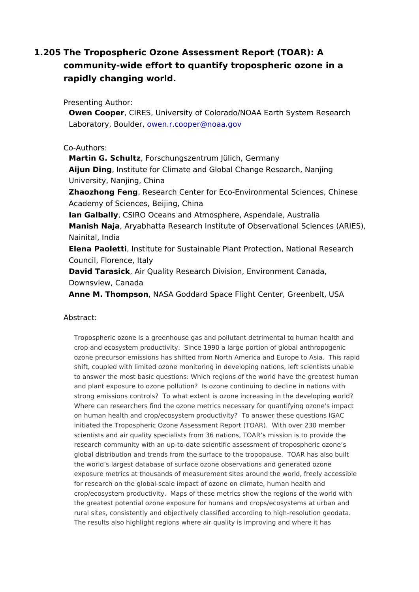1.205The Tropospheric Ozone Assessment Report (TOAR): A community-wide effort to quantify tropospheric ozone in a rapidly changing world.

Presenting Author:

Owen Coop,eCIRES, University of Colorado/NOAA Earth System Resea Laboratory, Bou Mem, r.cooper@noaa.gov

## Co-Authors:

Martin G. Schulff prschungszentrum Jülich, Germany Aijun Ding Institute for Climate and Global Change Research, Nanjing University, Nanjing, China Zhaozhong Fen esearch Center for Eco-Environmental Sciences, Chi Academy of Sciences, Beijing, China Ian GalballCSIRO Oceans and Atmosphere, Aspendale, Australia Manish Naja Tyabhatta Research Institute of Observational Sciences Nainital, India Elena Paoletthstitute for Sustainable Plant Protection, National Res Council, Florence, Italy David Tarasic Akir Quality Research Division, Environment Canada, Downsview, Canada

Anne M. Thomps on ASA Goddard Space Flight Center, Greenbelt, USA

## Abstract:

Tropospheric ozone is a greenhouse gas and pollutant detrimental to human he crop and ecosystem productivity. Since 1990 a large portion of global anthrop ozone precursor emissions has shifted from North America and Europe to Asia. shift, coupled with limited ozone monitoring in developing nations, left scienti to answer the most basic questions: Which regions of the world have the great and plant exposure to ozone pollution? Is ozone continuing to decline in natio strong emissions controls? To what extent is ozone increasing in the developi Where can researchers find the ozone metrics necessary for quantifying ozone on human health and crop/ecosystem productivity? To answer these questions initiated the Tropospheric Ozone Assessment Report (TOAR). With over 230 m scientists and air quality specialists from 36 nations, TOAR s mission is to pro research community with an up-to-date scientific assessment of tropospheric o global distribution and trends from the surface to the tropopause. TOAR has a the world s largest database of surface ozone observations and generated ozon exposure metrics at thousands of measurement sites around the world, freely a for research on the global-scale impact of ozone on climate, human health and crop/ecosystem productivity. Maps of these metrics show the regions of the w the greatest potential ozone exposure for humans and crops/ecosystems at urb rural sites, consistently and objectively classified according to high-resolutior The results also highlight regions where air quality is improving and where it  $\mathsf I$